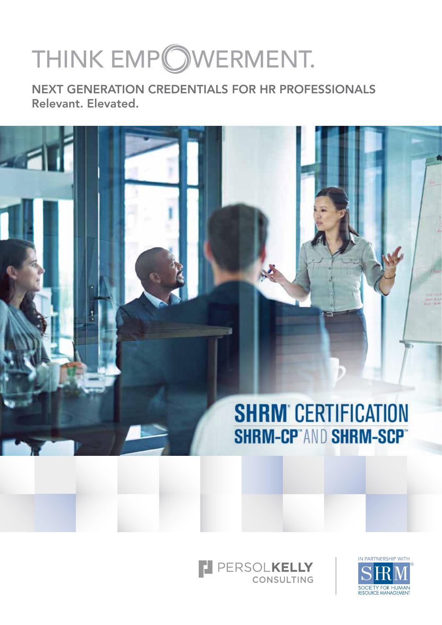# THINK EMPOWERMENT.

NEXT GENERATION CREDENTIALS FOR HR PROFESSIONALS Relevant. Elevated.





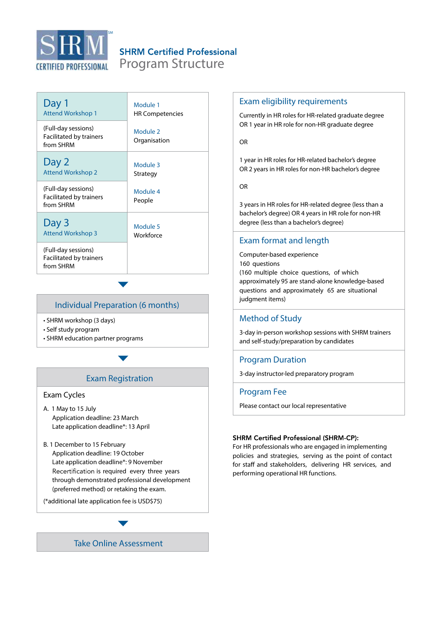

# **SHRM Certified Professional**

Program Structure

| Day 1                                                       | Module 1                 |
|-------------------------------------------------------------|--------------------------|
| <b>Attend Workshop 1</b>                                    | <b>HR Competencies</b>   |
| (Full-day sessions)<br>Facilitated by trainers<br>from SHRM | Module 2<br>Organisation |
| Day 2                                                       | Module 3                 |
| <b>Attend Workshop 2</b>                                    | Strategy                 |
| (Full-day sessions)<br>Facilitated by trainers<br>from SHRM | Module 4<br>People       |
| Day 3                                                       | Module 5                 |
| <b>Attend Workshop 3</b>                                    | Workforce                |
| (Full-day sessions)<br>Facilitated by trainers<br>from SHRM |                          |

# Individual Preparation (6 months)

- SHRM workshop (3 days)
- Self study program
- SHRM education partner programs

# Exam Registration

#### Exam Cycles

- A. 1 May to 15 July Application deadline: 23 March Late application deadline\*: 13 April
- B. 1 December to 15 February Application deadline: 19 October Late application deadline\*: 9 November Recertification is required every three years through demonstrated professional development (preferred method) or retaking the exam.

(\*additional late application fee is USD\$75)



#### Exam eligibility requirements

Currently in HR roles for HR-related graduate degree OR 1 year in HR role for non-HR graduate degree

#### OR

1 year in HR roles for HR-related bachelor's degree OR 2 years in HR roles for non-HR bachelor's degree

#### OR

3 years in HR roles for HR-related degree (less than a bachelor's degree) OR 4 years in HR role for non-HR degree (less than a bachelor's degree)

# Exam format and length

Computer-based experience 160 questions (160 multiple choice questions, of which approximately 95 are stand-alone knowledge-based questions and approximately 65 are situational judgment items)

#### Method of Study

3-day in-person workshop sessions with SHRM trainers and self-study/preparation by candidates

#### Program Duration

3-day instructor-led preparatory program

#### Program Fee

Please contact our local representative

#### **SHRM Certified Professional (SHRM-CP):**

For HR professionals who are engaged in implementing policies and strategies, serving as the point of contact for staff and stakeholders, delivering HR services, and performing operational HR functions.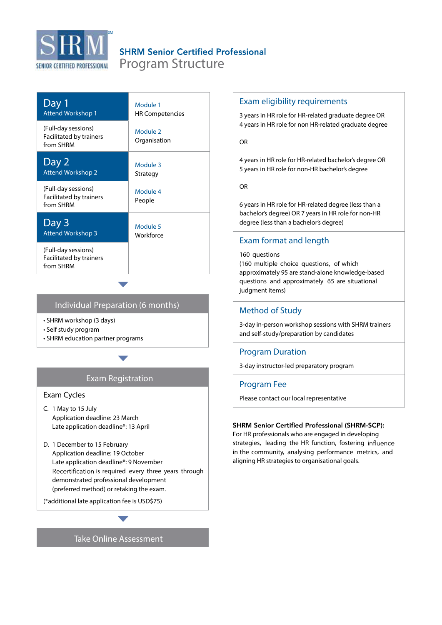

# **SHRM Senior Certified Professional**

Program Structure

| Day 1                                                       | Module 1                 |
|-------------------------------------------------------------|--------------------------|
| <b>Attend Workshop 1</b>                                    | <b>HR Competencies</b>   |
| (Full-day sessions)<br>Facilitated by trainers<br>from SHRM | Module 2<br>Organisation |
| Day 2                                                       | Module 3                 |
| <b>Attend Workshop 2</b>                                    | Strategy                 |
| (Full-day sessions)<br>Facilitated by trainers<br>from SHRM | Module 4<br>People       |
| Day 3                                                       | Module 5                 |
| <b>Attend Workshop 3</b>                                    | Workforce                |
| (Full-day sessions)<br>Facilitated by trainers<br>from SHRM |                          |

#### Individual Preparation (6 months)

- SHRM workshop (3 days)
- Self study program
- SHRM education partner programs

# Exam Registration

#### Exam Cycles

- C. 1 May to 15 July Application deadline: 23 March Late application deadline\*: 13 April
- D. 1 December to 15 February Application deadline: 19 October Late application deadline\*: 9 November Recertification is required every three years through demonstrated professional development (preferred method) or retaking the exam.

(\*additional late application fee is USD\$75)

Take Online Assessment

#### Exam eligibility requirements

3 years in HR role for HR-related graduate degree OR 4 years in HR role for non HR-related graduate degree

#### OR

4 years in HR role for HR-related bachelor's degree OR 5 years in HR role for non-HR bachelor's degree

OR

6 years in HR role for HR-related degree (less than a bachelor's degree) OR 7 years in HR role for non-HR degree (less than a bachelor's degree)

# Exam format and length

#### 160 questions

(160 multiple choice questions, of which approximately 95 are stand-alone knowledge-based questions and approximately 65 are situational judgment items)

#### Method of Study

3-day in-person workshop sessions with SHRM trainers and self-study/preparation by candidates

#### Program Duration

3-day instructor-led preparatory program

#### Program Fee

Please contact our local representative

#### **SHRM Senior Certified Professional (SHRM-SCP):**

For HR professionals who are engaged in developing strategies, leading the HR function, fostering influence in the community, analysing performance metrics, and aligning HR strategies to organisational goals.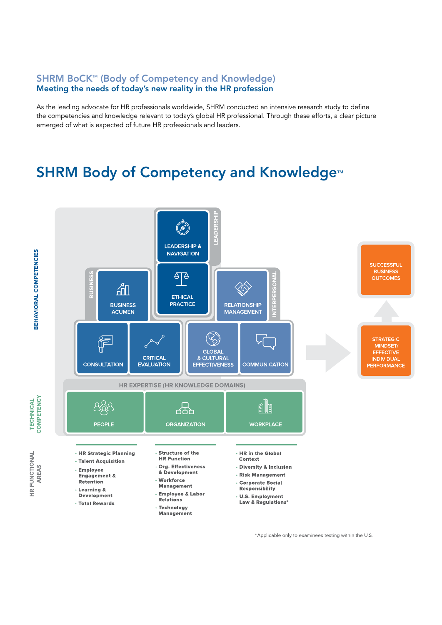# SHRM BoCK<sup>™</sup> (Body of Competency and Knowledge) Meeting the needs of today's new reality in the HR profession

As the leading advocate for HR professionals worldwide, SHRM conducted an intensive research study to define the competencies and knowledge relevant to today's global HR professional. Through these efforts, a clear picture emerged of what is expected of future HR professionals and leaders.

# SHRM Body of Competency and Knowledge<sup>™</sup>



\*Applicable only to examinees testing within the U.S.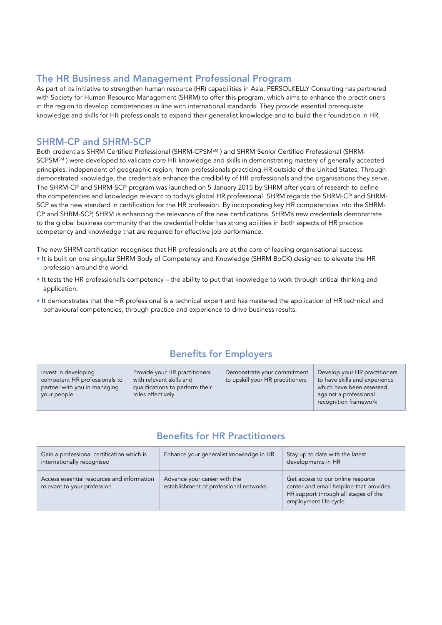# The HR Business and Management Professional Program

As part of its initiative to strengthen human resource (HR) capabilities in Asia, PERSOLKELLY Consulting has partnered with Society for Human Resource Management (SHRM) to offer this program, which aims to enhance the practitioners in the region to develop competencies in line with international standards. They provide essential prerequisite knowledge and skills for HR professionals to expand their generalist knowledge and to build their foundation in HR.

# SHRM-CP and SHRM-SCP

Both credentials SHRM Certified Professional (SHRM-CPSM<sup>SM</sup>) and SHRM Senior Certified Professional (SHRM-SCPSM<sup>SM</sup>) were developed to validate core HR knowledge and skills in demonstrating mastery of generally accepted principles, independent of geographic region, from professionals practicing HR outside of the United States. Through demonstrated knowledge, the credentials enhance the credibility of HR professionals and the organisations they serve. The SHRM-CP and SHRM-SCP program was launched on 5 January 2015 by SHRM after years of research to define the competencies and knowledge relevant to today's global HR professional. SHRM regards the SHRM-CP and SHRM-SCP as the new standard in certification for the HR profession. By incorporating key HR competencies into the SHRM-CP and SHRM-SCP, SHRM is enhancing the relevance of the new certifications. SHRM's new credentials demonstrate to the global business community that the credential holder has strong abilities in both aspects of HR practice competency and knowledge that are required for effective job performance.

The new SHRM certification recognises that HR professionals are at the core of leading organisational success:

- It is built on one singular SHRM Body of Competency and Knowledge (SHRM BoCK) designed to elevate the HR profession around the world.
- It tests the HR professional's competency the ability to put that knowledge to work through critical thinking and application.
- It demonstrates that the HR professional is a technical expert and has mastered the application of HR technical and behavioural competencies, through practice and experience to drive business results.

# Benefits for Employers

| Invest in developing<br>competent HR professionals to<br>partner with you in managing<br>your people | Provide your HR practitioners<br>with relevant skills and<br>qualifications to perform their<br>roles effectively | Demonstrate your commitment<br>to upskill your HR practitioners | Develop your HR practitioners<br>to have skills and experience<br>which have been assessed<br>against a professional<br>recognition framework |
|------------------------------------------------------------------------------------------------------|-------------------------------------------------------------------------------------------------------------------|-----------------------------------------------------------------|-----------------------------------------------------------------------------------------------------------------------------------------------|
|------------------------------------------------------------------------------------------------------|-------------------------------------------------------------------------------------------------------------------|-----------------------------------------------------------------|-----------------------------------------------------------------------------------------------------------------------------------------------|

# Benefits for HR Practitioners

| Gain a professional certification which is<br>internationally recognised  | Enhance your generalist knowledge in HR                                | Stay up to date with the latest<br>developments in HR                                                                                         |
|---------------------------------------------------------------------------|------------------------------------------------------------------------|-----------------------------------------------------------------------------------------------------------------------------------------------|
| Access essential resources and information<br>relevant to your profession | Advance your career with the<br>establishment of professional networks | Get access to our online resource<br>center and email helpline that provides<br>HR support through all stages of the<br>employment life cycle |